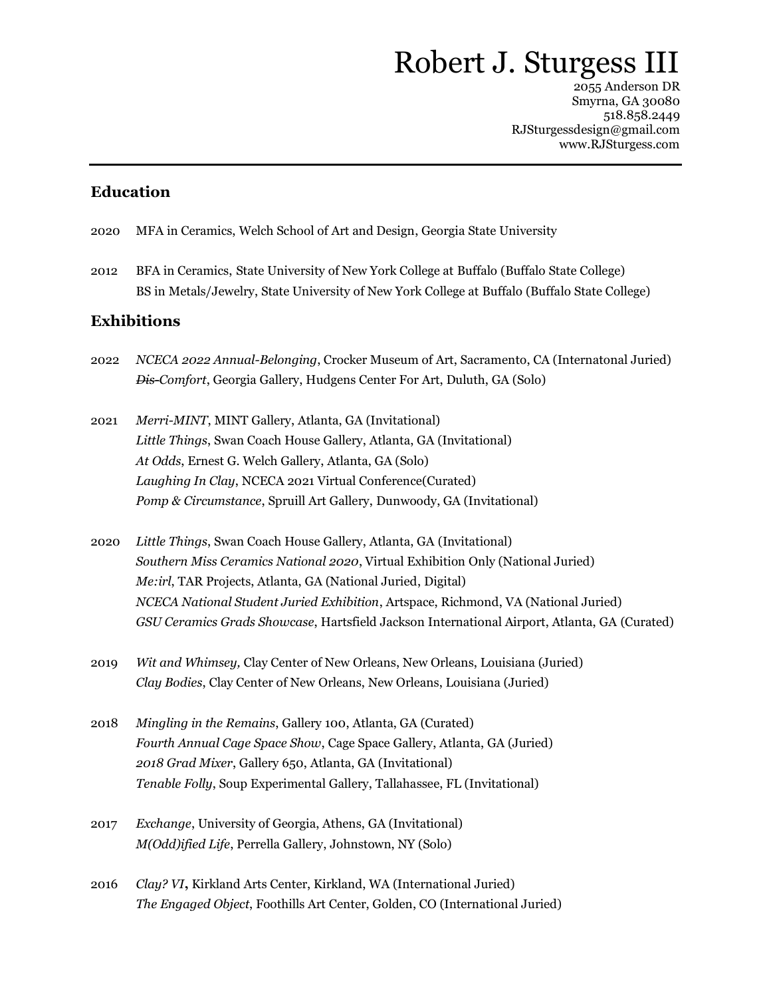# Robert J. Sturgess III

2055 Anderson DR Smyrna, GA 30080 518.858.2449 RJSturgessdesign@gmail.com www.RJSturgess.com

## **Education**

- 2020 MFA in Ceramics, Welch School of Art and Design, Georgia State University
- 2012 BFA in Ceramics, State University of New York College at Buffalo (Buffalo State College) BS in Metals/Jewelry, State University of New York College at Buffalo (Buffalo State College)

## **Exhibitions**

- 2022 *NCECA 2022 Annual-Belonging*, Crocker Museum of Art, Sacramento, CA (Internatonal Juried) *Dis-Comfort*, Georgia Gallery, Hudgens Center For Art, Duluth, GA (Solo)
- 2021 *Merri-MINT*, MINT Gallery, Atlanta, GA (Invitational) *Little Things*, Swan Coach House Gallery, Atlanta, GA (Invitational) *At Odds*, Ernest G. Welch Gallery, Atlanta, GA (Solo) *Laughing In Clay*, NCECA 2021 Virtual Conference(Curated) *Pomp & Circumstance*, Spruill Art Gallery, Dunwoody, GA (Invitational)
- 2020 *Little Things*, Swan Coach House Gallery, Atlanta, GA (Invitational) *Southern Miss Ceramics National 2020*, Virtual Exhibition Only (National Juried) *Me:irl*, TAR Projects, Atlanta, GA (National Juried, Digital) *NCECA National Student Juried Exhibition*, Artspace, Richmond, VA (National Juried) *GSU Ceramics Grads Showcase*, Hartsfield Jackson International Airport, Atlanta, GA (Curated)
- 2019 *Wit and Whimsey,* Clay Center of New Orleans, New Orleans, Louisiana (Juried) *Clay Bodies*, Clay Center of New Orleans, New Orleans, Louisiana (Juried)
- 2018 *Mingling in the Remains*, Gallery 100, Atlanta, GA (Curated) *Fourth Annual Cage Space Show*, Cage Space Gallery, Atlanta, GA (Juried) *2018 Grad Mixer*, Gallery 650, Atlanta, GA (Invitational) *Tenable Folly*, Soup Experimental Gallery, Tallahassee, FL (Invitational)
- 2017 *Exchange*, University of Georgia, Athens, GA (Invitational) *M(Odd)ified Life*, Perrella Gallery, Johnstown, NY (Solo)
- 2016 *Clay? VI***,** Kirkland Arts Center, Kirkland, WA (International Juried) *The Engaged Object*, Foothills Art Center, Golden, CO (International Juried)